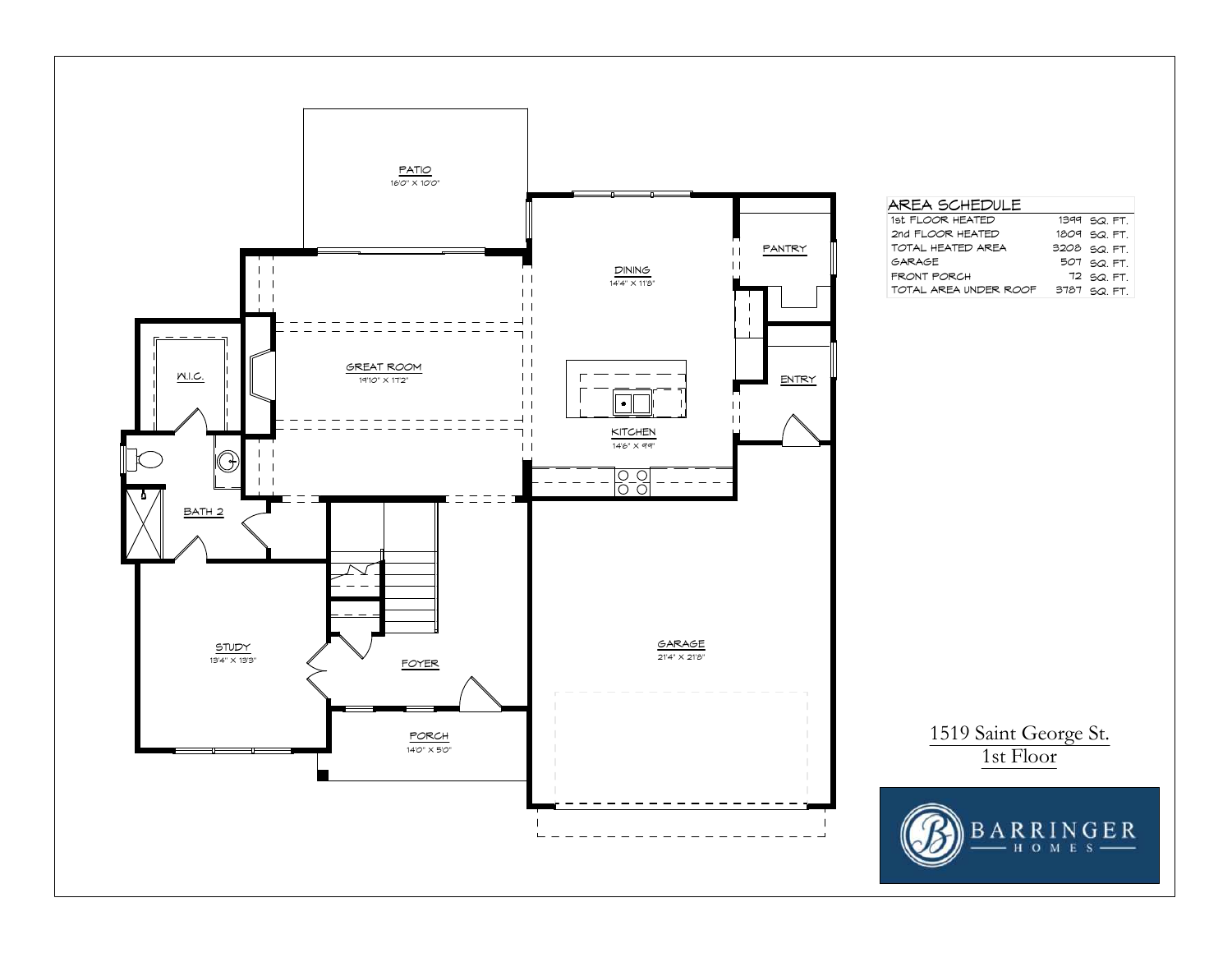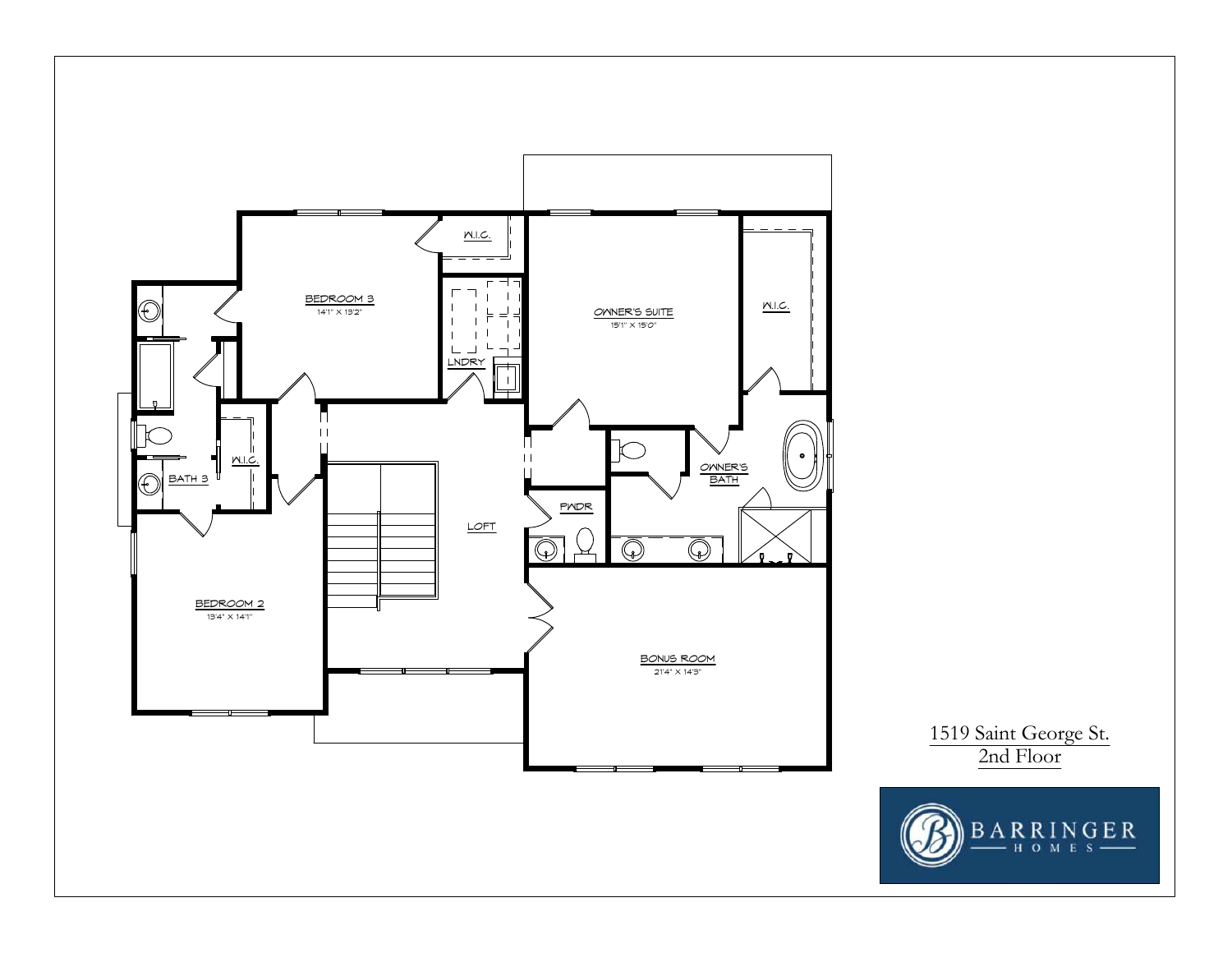

1519 Saint George St. 2nd Floor

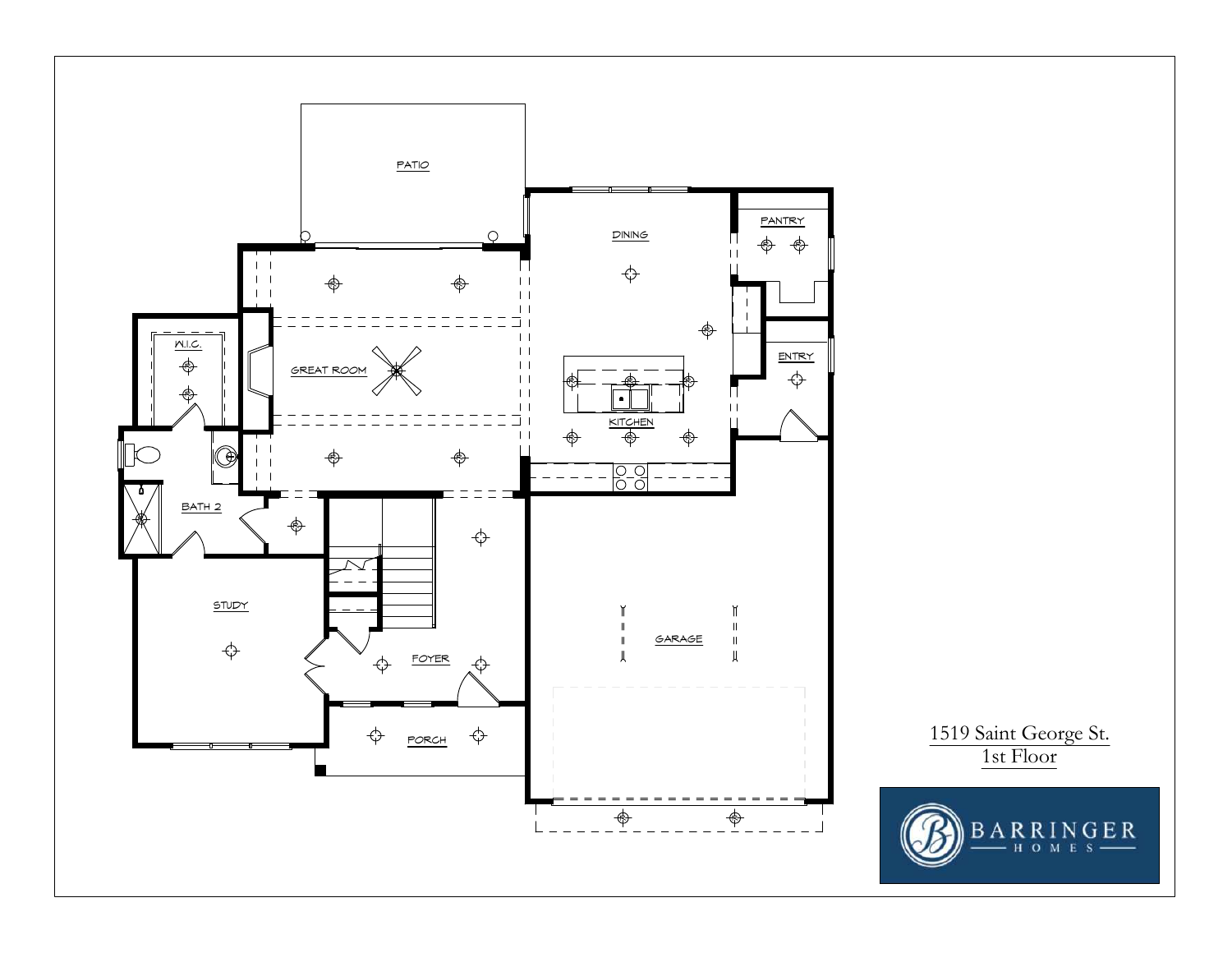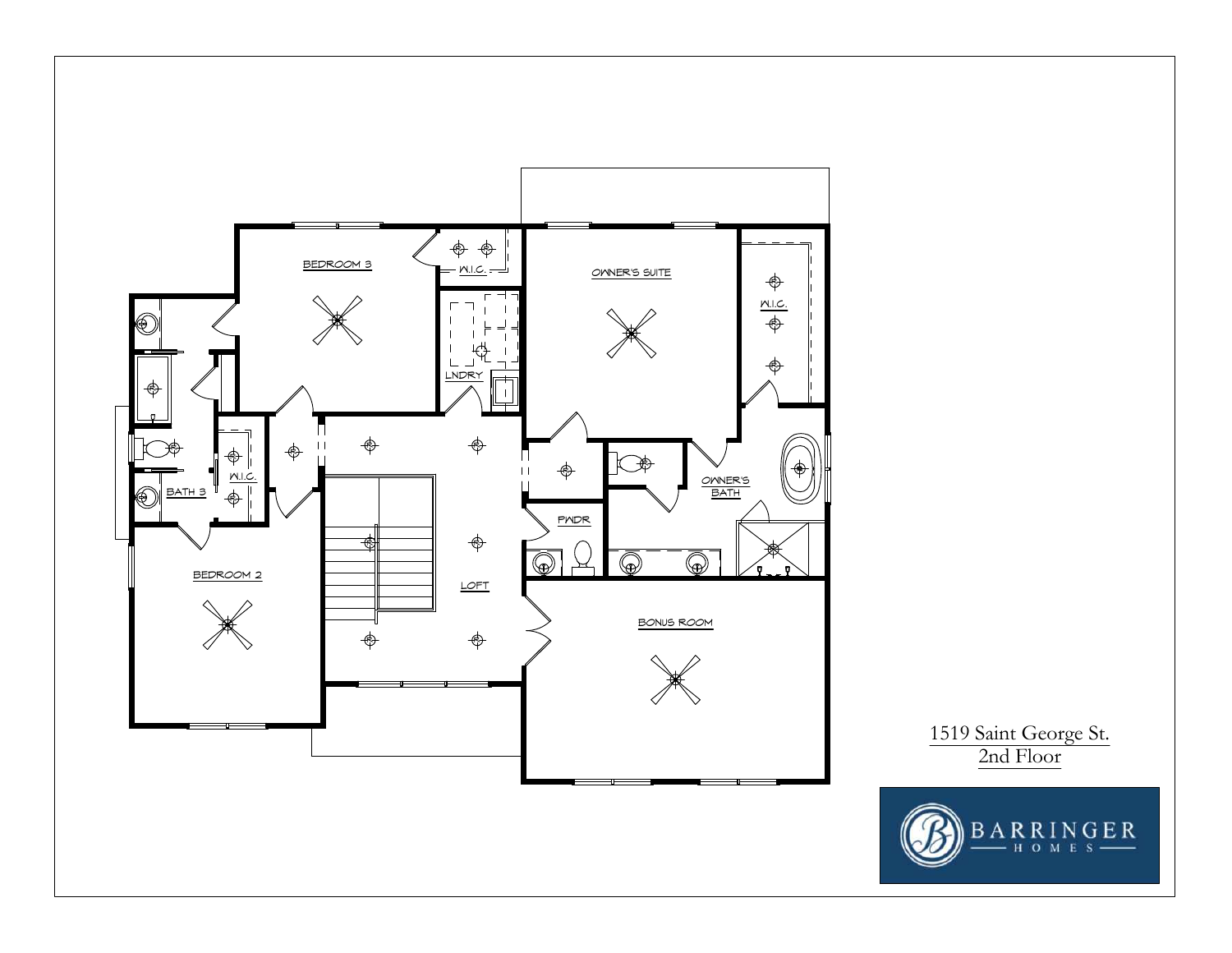

1519 Saint George St. 2nd Floor

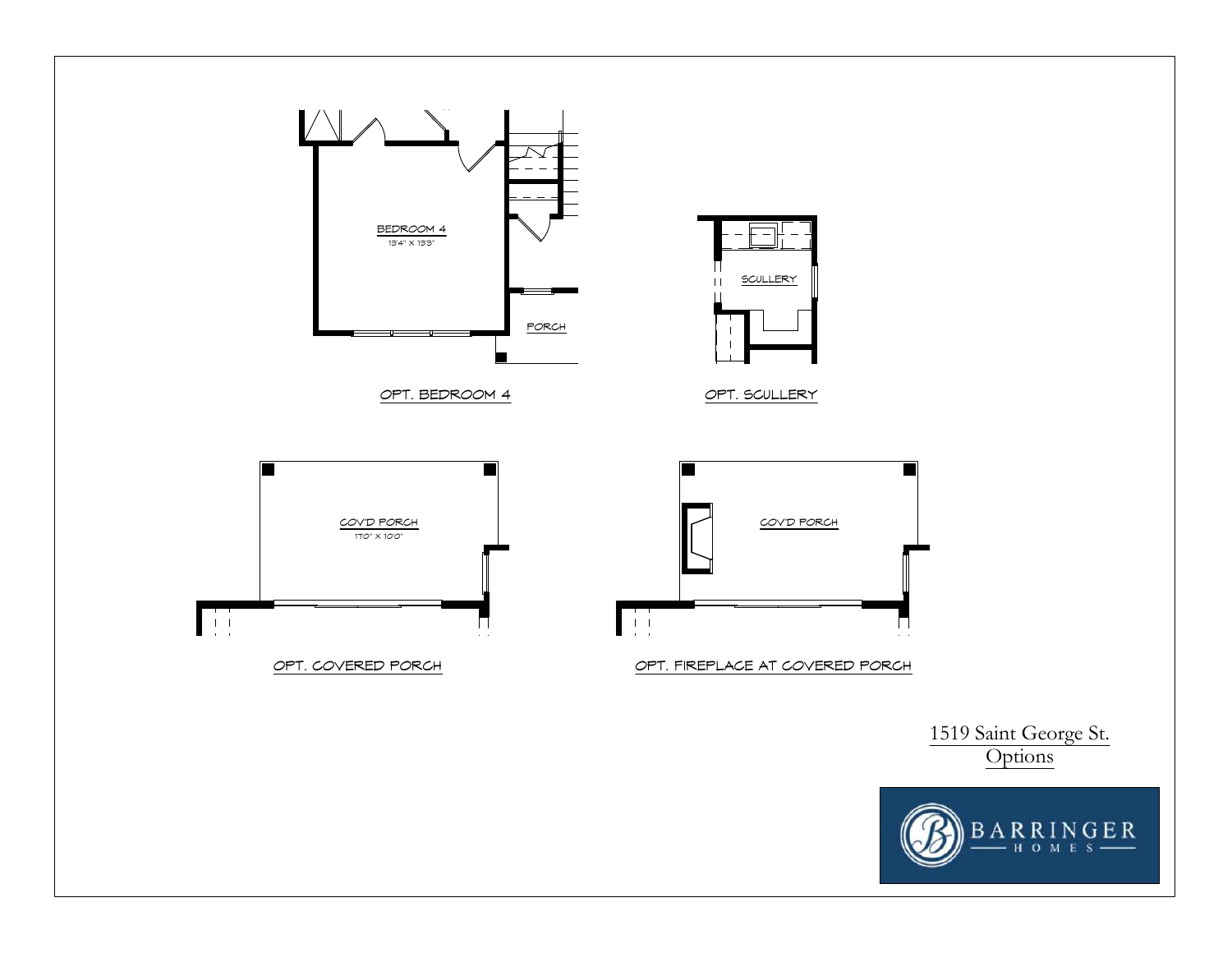